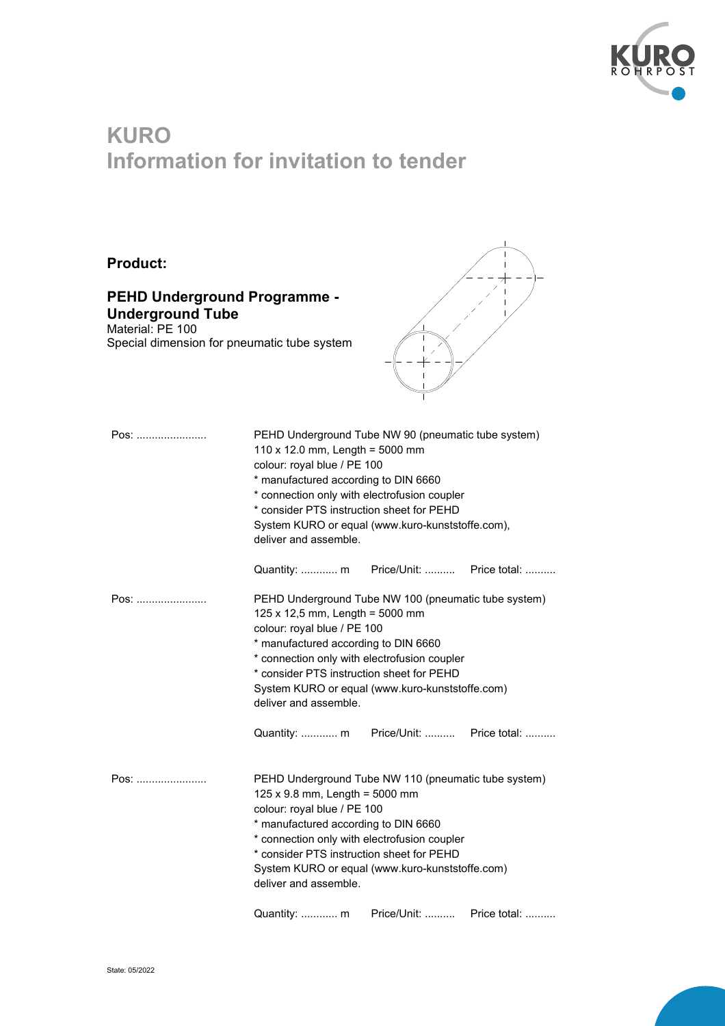

## **KURO Information for invitation to tender**

## **Product:**

## **PEHD Underground Programme - Underground Tube**

Material: PE 100 Special dimension for pneumatic tube system



| Pos: | PEHD Underground Tube NW 90 (pneumatic tube system)<br>110 x 12.0 mm, Length = $5000$ mm<br>colour: royal blue / PE 100<br>* manufactured according to DIN 6660<br>* connection only with electrofusion coupler<br>* consider PTS instruction sheet for PEHD<br>System KURO or equal (www.kuro-kunststoffe.com),<br>deliver and assemble.                                                    |
|------|----------------------------------------------------------------------------------------------------------------------------------------------------------------------------------------------------------------------------------------------------------------------------------------------------------------------------------------------------------------------------------------------|
|      |                                                                                                                                                                                                                                                                                                                                                                                              |
| Pos: | PEHD Underground Tube NW 100 (pneumatic tube system)<br>125 x 12,5 mm, Length = 5000 mm<br>colour: royal blue / PE 100<br>* manufactured according to DIN 6660<br>* connection only with electrofusion coupler<br>* consider PTS instruction sheet for PEHD<br>System KURO or equal (www.kuro-kunststoffe.com)<br>deliver and assemble.<br>Price/Unit:  Price total:<br>Quantity:  m         |
| Pos: | PEHD Underground Tube NW 110 (pneumatic tube system)<br>$125 \times 9.8$ mm, Length = 5000 mm<br>colour: royal blue / PE 100<br>* manufactured according to DIN 6660<br>* connection only with electrofusion coupler<br>* consider PTS instruction sheet for PEHD<br>System KURO or equal (www.kuro-kunststoffe.com)<br>deliver and assemble.<br>Price/Unit:<br>Price total:<br>Quantity:  m |